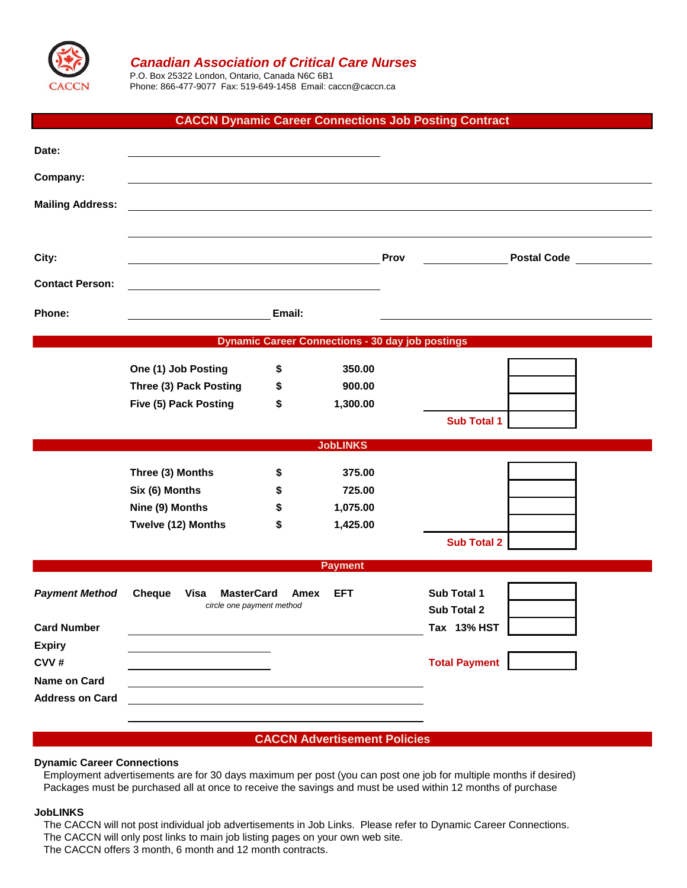

# *Canadian Association of Critical Care Nurses*

P.O. Box 25322 London, Ontario, Canada N6C 6B1 Phone: 866-477-9077 Fax: 519-649-1458 Email: caccn@caccn.ca

## **CACCN Dynamic Career Connections Job Posting Contract**

| Date:                   |                                                                                        |        |                                                         |      |                      |
|-------------------------|----------------------------------------------------------------------------------------|--------|---------------------------------------------------------|------|----------------------|
| Company:                |                                                                                        |        |                                                         |      |                      |
| <b>Mailing Address:</b> |                                                                                        |        |                                                         |      |                      |
|                         |                                                                                        |        |                                                         |      |                      |
| City:                   |                                                                                        |        |                                                         | Prov | <b>Postal Code</b>   |
| <b>Contact Person:</b>  |                                                                                        |        |                                                         |      |                      |
| Phone:                  |                                                                                        | Email: |                                                         |      |                      |
|                         |                                                                                        |        | <b>Dynamic Career Connections - 30 day job postings</b> |      |                      |
|                         |                                                                                        |        |                                                         |      |                      |
|                         | One (1) Job Posting                                                                    | \$     | 350.00                                                  |      |                      |
|                         | Three (3) Pack Posting                                                                 | \$     | 900.00                                                  |      |                      |
|                         | Five (5) Pack Posting                                                                  | \$     | 1,300.00                                                |      |                      |
|                         |                                                                                        |        |                                                         |      | <b>Sub Total 1</b>   |
| <b>JobLINKS</b>         |                                                                                        |        |                                                         |      |                      |
|                         | Three (3) Months                                                                       | \$     | 375.00                                                  |      |                      |
|                         | Six (6) Months                                                                         | \$     | 725.00                                                  |      |                      |
|                         | Nine (9) Months                                                                        | \$     | 1,075.00                                                |      |                      |
|                         | Twelve (12) Months                                                                     | \$     | 1,425.00                                                |      |                      |
|                         |                                                                                        |        |                                                         |      | <b>Sub Total 2</b>   |
| <b>Payment</b>          |                                                                                        |        |                                                         |      |                      |
| <b>Payment Method</b>   | <b>MasterCard</b><br>Cheque<br><b>EFT</b><br>Visa<br>Amex<br>circle one payment method |        |                                                         |      | Sub Total 1          |
|                         |                                                                                        |        |                                                         |      | Sub Total 2          |
| <b>Card Number</b>      |                                                                                        |        |                                                         |      | Tax 13% HST          |
| <b>Expiry</b>           |                                                                                        |        |                                                         |      |                      |
| CVV#                    |                                                                                        |        |                                                         |      | <b>Total Payment</b> |
| <b>Name on Card</b>     |                                                                                        |        |                                                         |      |                      |
| <b>Address on Card</b>  |                                                                                        |        |                                                         |      |                      |
|                         |                                                                                        |        |                                                         |      |                      |

**CACCN Advertisement Policies**

#### **Dynamic Career Connections**

Employment advertisements are for 30 days maximum per post (you can post one job for multiple months if desired) Packages must be purchased all at once to receive the savings and must be used within 12 months of purchase

#### **JobLINKS**

The CACCN will not post individual job advertisements in Job Links. Please refer to Dynamic Career Connections. The CACCN will only post links to main job listing pages on your own web site. The CACCN offers 3 month, 6 month and 12 month contracts.